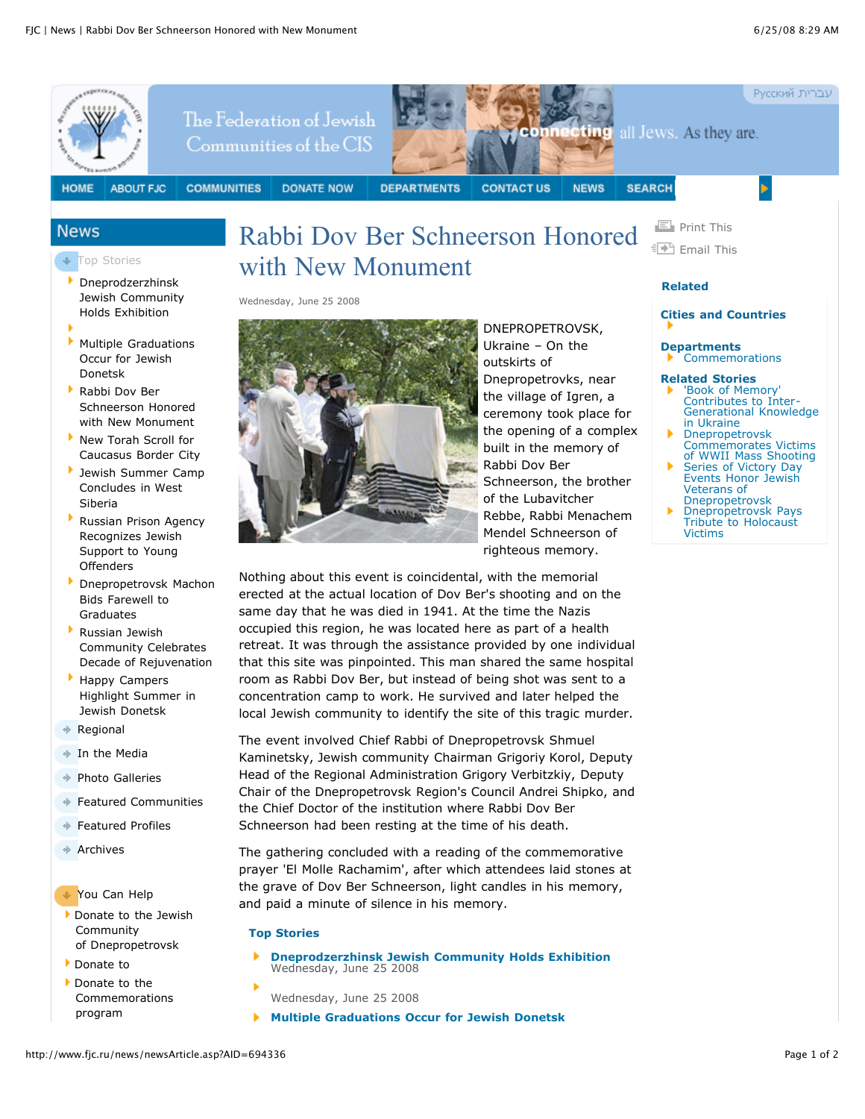

[Dnepropetrovsk](http://www.fjc.ru/article.asp?aid=693043) Machon Bids Farewell to Graduates

- Russian Jewish Community Celebrates Decade of [Rejuvenation](http://www.fjc.ru/article.asp?aid=691881)
- Happy Campers [Highlight](http://www.fjc.ru/article.asp?aid=691879) Summer in Jewish Donetsk
- [Regional](http://www.fjc.ru/article.asp?aid=80392)
- In the [Media](http://www.fjc.ru/article.asp?aid=80054)
- Photo [Galleries](http://www.fjc.ru/article.asp?aid=80055)
- Featured [Communities](http://www.fjc.ru/article.asp?aid=80241)
- [Featured](http://www.fjc.ru/article.asp?aid=80243) Profiles
- [Archives](http://www.fjc.ru/article.asp?aid=80486)
- You Can Help
- Donate to the Jewish Community of [Dnepropetrovsk](http://www.fjc.ru/AboutUs/default.asp?AID=80060&for=84972&rtype=c)
- [Donate](http://www.fjc.ru/AboutUs/default.asp?AID=80060&for=95410&rtype=i) to
- Donate to the [Commemorations](http://www.fjc.ru/AboutUs/default.asp?AID=80060&for=98477&rtype=d) program

erected at the actual location of Dov Ber's shooting and on the same day that he was died in 1941. At the time the Nazis occupied this region, he was located here as part of a health retreat. It was through the assistance provided by one individual that this site was pinpointed. This man shared the same hospital room as Rabbi Dov Ber, but instead of being shot was sent to a concentration camp to work. He survived and later helped the local Jewish community to identify the site of this tragic murder.

The event involved Chief Rabbi of Dnepropetrovsk Shmuel Kaminetsky, Jewish community Chairman Grigoriy Korol, Deputy Head of the Regional Administration Grigory Verbitzkiy, Deputy Chair of the Dnepropetrovsk Region's Council Andrei Shipko, and the Chief Doctor of the institution where Rabbi Dov Ber Schneerson had been resting at the time of his death.

The gathering concluded with a reading of the commemorative prayer 'El Molle Rachamim', after which attendees laid stones at the grave of Dov Ber Schneerson, light candles in his memory, and paid a minute of silence in his memory.

## **Top Stories**

- **[Dneprodzerzhinsk](http://www.fjc.ru/article.asp?AID=694342) Jewish Community Holds Exhibition** Wednesday, June 25 2008
- Wednesday, June 25 2008
- **Multiple [Graduations](http://www.fjc.ru/article.asp?AID=694337) Occur for Jewish Donetsk**